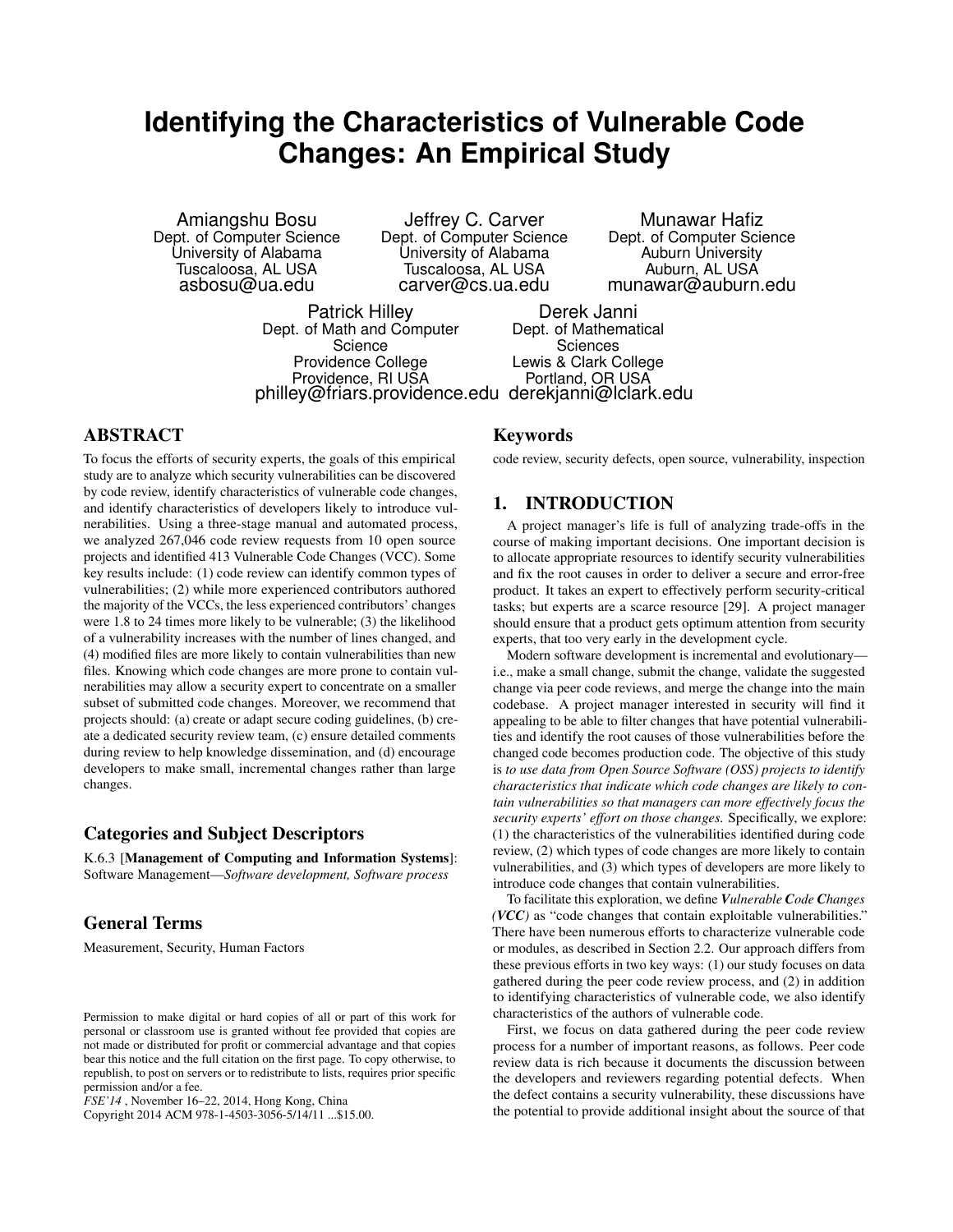# **Identifying the Characteristics of Vulnerable Code Changes: An Empirical Study**

Amiangshu Bosu Dept. of Computer Science University of Alabama Tuscaloosa, AL USA asbosu@ua.edu

Jeffrey C. Carver Dept. of Computer Science University of Alabama Tuscaloosa, AL USA carver@cs.ua.edu

Munawar Hafiz Dept. of Computer Science Auburn University Auburn, AL USA munawar@auburn.edu

Patrick Hilley Dept. of Math and Computer Science Providence College Providence, RI USA philley@friars.providence.edu derekjanni@lclark.edu Derek Janni Dept. of Mathematical **Sciences** Lewis & Clark College Portland, OR USA

# ABSTRACT

To focus the efforts of security experts, the goals of this empirical study are to analyze which security vulnerabilities can be discovered by code review, identify characteristics of vulnerable code changes, and identify characteristics of developers likely to introduce vulnerabilities. Using a three-stage manual and automated process, we analyzed 267,046 code review requests from 10 open source projects and identified 413 Vulnerable Code Changes (VCC). Some key results include: (1) code review can identify common types of vulnerabilities; (2) while more experienced contributors authored the majority of the VCCs, the less experienced contributors' changes were 1.8 to 24 times more likely to be vulnerable; (3) the likelihood of a vulnerability increases with the number of lines changed, and (4) modified files are more likely to contain vulnerabilities than new files. Knowing which code changes are more prone to contain vulnerabilities may allow a security expert to concentrate on a smaller subset of submitted code changes. Moreover, we recommend that projects should: (a) create or adapt secure coding guidelines, (b) create a dedicated security review team, (c) ensure detailed comments during review to help knowledge dissemination, and (d) encourage developers to make small, incremental changes rather than large changes.

# Categories and Subject Descriptors

K.6.3 [Management of Computing and Information Systems]: Software Management—*Software development, Software process*

# General Terms

Measurement, Security, Human Factors

Copyright 2014 ACM 978-1-4503-3056-5/14/11 ...\$15.00.

#### Keywords

code review, security defects, open source, vulnerability, inspection

# 1. INTRODUCTION

A project manager's life is full of analyzing trade-offs in the course of making important decisions. One important decision is to allocate appropriate resources to identify security vulnerabilities and fix the root causes in order to deliver a secure and error-free product. It takes an expert to effectively perform security-critical tasks; but experts are a scarce resource [29]. A project manager should ensure that a product gets optimum attention from security experts, that too very early in the development cycle.

Modern software development is incremental and evolutionary i.e., make a small change, submit the change, validate the suggested change via peer code reviews, and merge the change into the main codebase. A project manager interested in security will find it appealing to be able to filter changes that have potential vulnerabilities and identify the root causes of those vulnerabilities before the changed code becomes production code. The objective of this study is *to use data from Open Source Software (OSS) projects to identify characteristics that indicate which code changes are likely to contain vulnerabilities so that managers can more effectively focus the security experts' effort on those changes.* Specifically, we explore: (1) the characteristics of the vulnerabilities identified during code review, (2) which types of code changes are more likely to contain vulnerabilities, and (3) which types of developers are more likely to introduce code changes that contain vulnerabilities.

To facilitate this exploration, we define *Vulnerable Code Changes (VCC)* as "code changes that contain exploitable vulnerabilities." There have been numerous efforts to characterize vulnerable code or modules, as described in Section 2.2. Our approach differs from these previous efforts in two key ways: (1) our study focuses on data gathered during the peer code review process, and (2) in addition to identifying characteristics of vulnerable code, we also identify characteristics of the authors of vulnerable code.

First, we focus on data gathered during the peer code review process for a number of important reasons, as follows. Peer code review data is rich because it documents the discussion between the developers and reviewers regarding potential defects. When the defect contains a security vulnerability, these discussions have the potential to provide additional insight about the source of that

Permission to make digital or hard copies of all or part of this work for personal or classroom use is granted without fee provided that copies are not made or distributed for profit or commercial advantage and that copies bear this notice and the full citation on the first page. To copy otherwise, to republish, to post on servers or to redistribute to lists, requires prior specific permission and/or a fee.

*FSE'14* , November 16–22, 2014, Hong Kong, China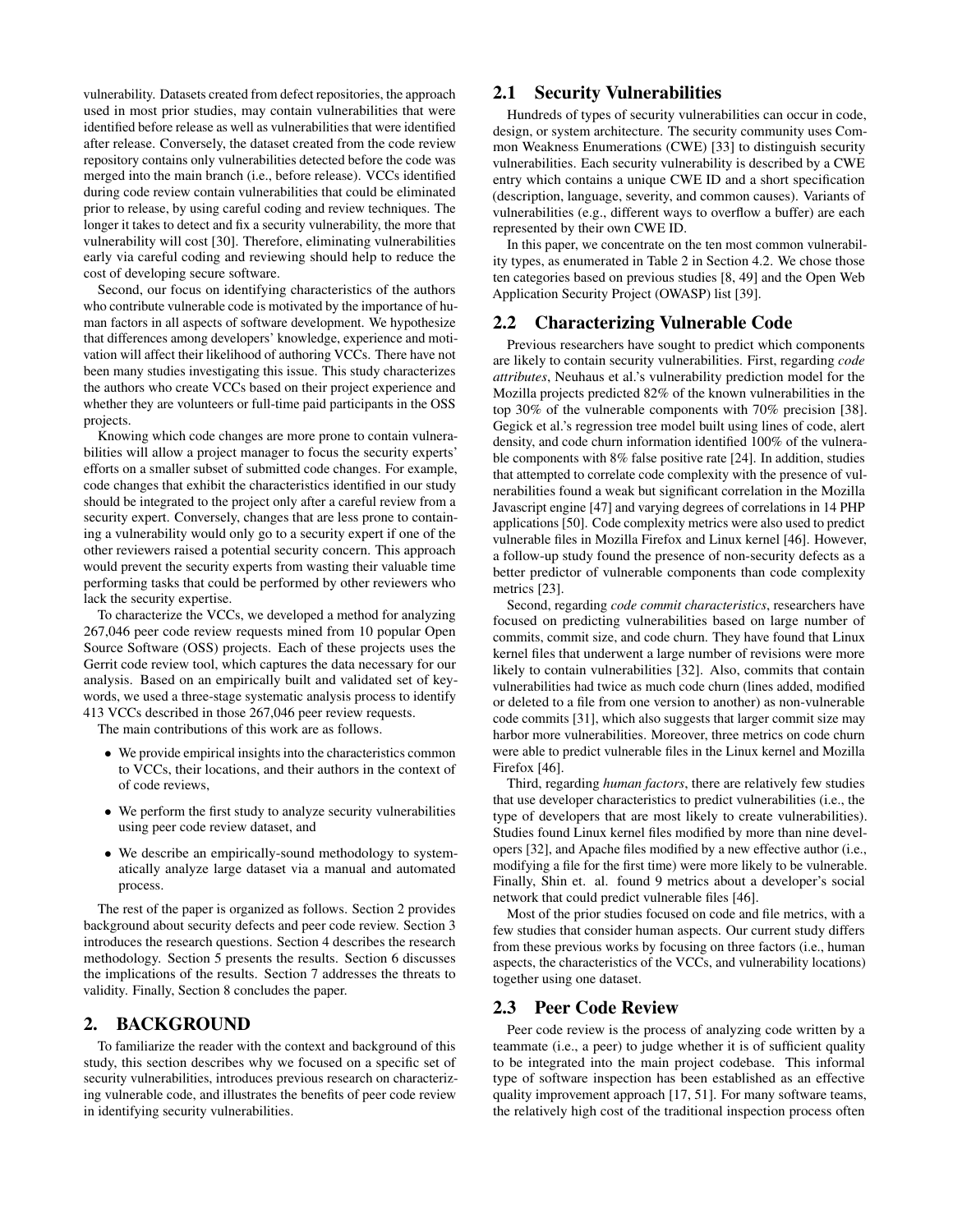vulnerability. Datasets created from defect repositories, the approach used in most prior studies, may contain vulnerabilities that were identified before release as well as vulnerabilities that were identified after release. Conversely, the dataset created from the code review repository contains only vulnerabilities detected before the code was merged into the main branch (i.e., before release). VCCs identified during code review contain vulnerabilities that could be eliminated prior to release, by using careful coding and review techniques. The longer it takes to detect and fix a security vulnerability, the more that vulnerability will cost [30]. Therefore, eliminating vulnerabilities early via careful coding and reviewing should help to reduce the cost of developing secure software.

Second, our focus on identifying characteristics of the authors who contribute vulnerable code is motivated by the importance of human factors in all aspects of software development. We hypothesize that differences among developers' knowledge, experience and motivation will affect their likelihood of authoring VCCs. There have not been many studies investigating this issue. This study characterizes the authors who create VCCs based on their project experience and whether they are volunteers or full-time paid participants in the OSS projects.

Knowing which code changes are more prone to contain vulnerabilities will allow a project manager to focus the security experts' efforts on a smaller subset of submitted code changes. For example, code changes that exhibit the characteristics identified in our study should be integrated to the project only after a careful review from a security expert. Conversely, changes that are less prone to containing a vulnerability would only go to a security expert if one of the other reviewers raised a potential security concern. This approach would prevent the security experts from wasting their valuable time performing tasks that could be performed by other reviewers who lack the security expertise.

To characterize the VCCs, we developed a method for analyzing 267,046 peer code review requests mined from 10 popular Open Source Software (OSS) projects. Each of these projects uses the Gerrit code review tool, which captures the data necessary for our analysis. Based on an empirically built and validated set of keywords, we used a three-stage systematic analysis process to identify 413 VCCs described in those 267,046 peer review requests.

The main contributions of this work are as follows.

- We provide empirical insights into the characteristics common to VCCs, their locations, and their authors in the context of of code reviews,
- We perform the first study to analyze security vulnerabilities using peer code review dataset, and
- We describe an empirically-sound methodology to systematically analyze large dataset via a manual and automated process.

The rest of the paper is organized as follows. Section 2 provides background about security defects and peer code review. Section 3 introduces the research questions. Section 4 describes the research methodology. Section 5 presents the results. Section 6 discusses the implications of the results. Section 7 addresses the threats to validity. Finally, Section 8 concludes the paper.

### 2. BACKGROUND

To familiarize the reader with the context and background of this study, this section describes why we focused on a specific set of security vulnerabilities, introduces previous research on characterizing vulnerable code, and illustrates the benefits of peer code review in identifying security vulnerabilities.

# 2.1 Security Vulnerabilities

Hundreds of types of security vulnerabilities can occur in code, design, or system architecture. The security community uses Common Weakness Enumerations (CWE) [33] to distinguish security vulnerabilities. Each security vulnerability is described by a CWE entry which contains a unique CWE ID and a short specification (description, language, severity, and common causes). Variants of vulnerabilities (e.g., different ways to overflow a buffer) are each represented by their own CWE ID.

In this paper, we concentrate on the ten most common vulnerability types, as enumerated in Table 2 in Section 4.2. We chose those ten categories based on previous studies [8, 49] and the Open Web Application Security Project (OWASP) list [39].

### 2.2 Characterizing Vulnerable Code

Previous researchers have sought to predict which components are likely to contain security vulnerabilities. First, regarding *code attributes*, Neuhaus et al.'s vulnerability prediction model for the Mozilla projects predicted 82% of the known vulnerabilities in the top 30% of the vulnerable components with 70% precision [38]. Gegick et al.'s regression tree model built using lines of code, alert density, and code churn information identified 100% of the vulnerable components with 8% false positive rate [24]. In addition, studies that attempted to correlate code complexity with the presence of vulnerabilities found a weak but significant correlation in the Mozilla Javascript engine [47] and varying degrees of correlations in 14 PHP applications [50]. Code complexity metrics were also used to predict vulnerable files in Mozilla Firefox and Linux kernel [46]. However, a follow-up study found the presence of non-security defects as a better predictor of vulnerable components than code complexity metrics [23].

Second, regarding *code commit characteristics*, researchers have focused on predicting vulnerabilities based on large number of commits, commit size, and code churn. They have found that Linux kernel files that underwent a large number of revisions were more likely to contain vulnerabilities [32]. Also, commits that contain vulnerabilities had twice as much code churn (lines added, modified or deleted to a file from one version to another) as non-vulnerable code commits [31], which also suggests that larger commit size may harbor more vulnerabilities. Moreover, three metrics on code churn were able to predict vulnerable files in the Linux kernel and Mozilla Firefox [46].

Third, regarding *human factors*, there are relatively few studies that use developer characteristics to predict vulnerabilities (i.e., the type of developers that are most likely to create vulnerabilities). Studies found Linux kernel files modified by more than nine developers [32], and Apache files modified by a new effective author (i.e., modifying a file for the first time) were more likely to be vulnerable. Finally, Shin et. al. found 9 metrics about a developer's social network that could predict vulnerable files [46].

Most of the prior studies focused on code and file metrics, with a few studies that consider human aspects. Our current study differs from these previous works by focusing on three factors (i.e., human aspects, the characteristics of the VCCs, and vulnerability locations) together using one dataset.

## 2.3 Peer Code Review

Peer code review is the process of analyzing code written by a teammate (i.e., a peer) to judge whether it is of sufficient quality to be integrated into the main project codebase. This informal type of software inspection has been established as an effective quality improvement approach [17, 51]. For many software teams, the relatively high cost of the traditional inspection process often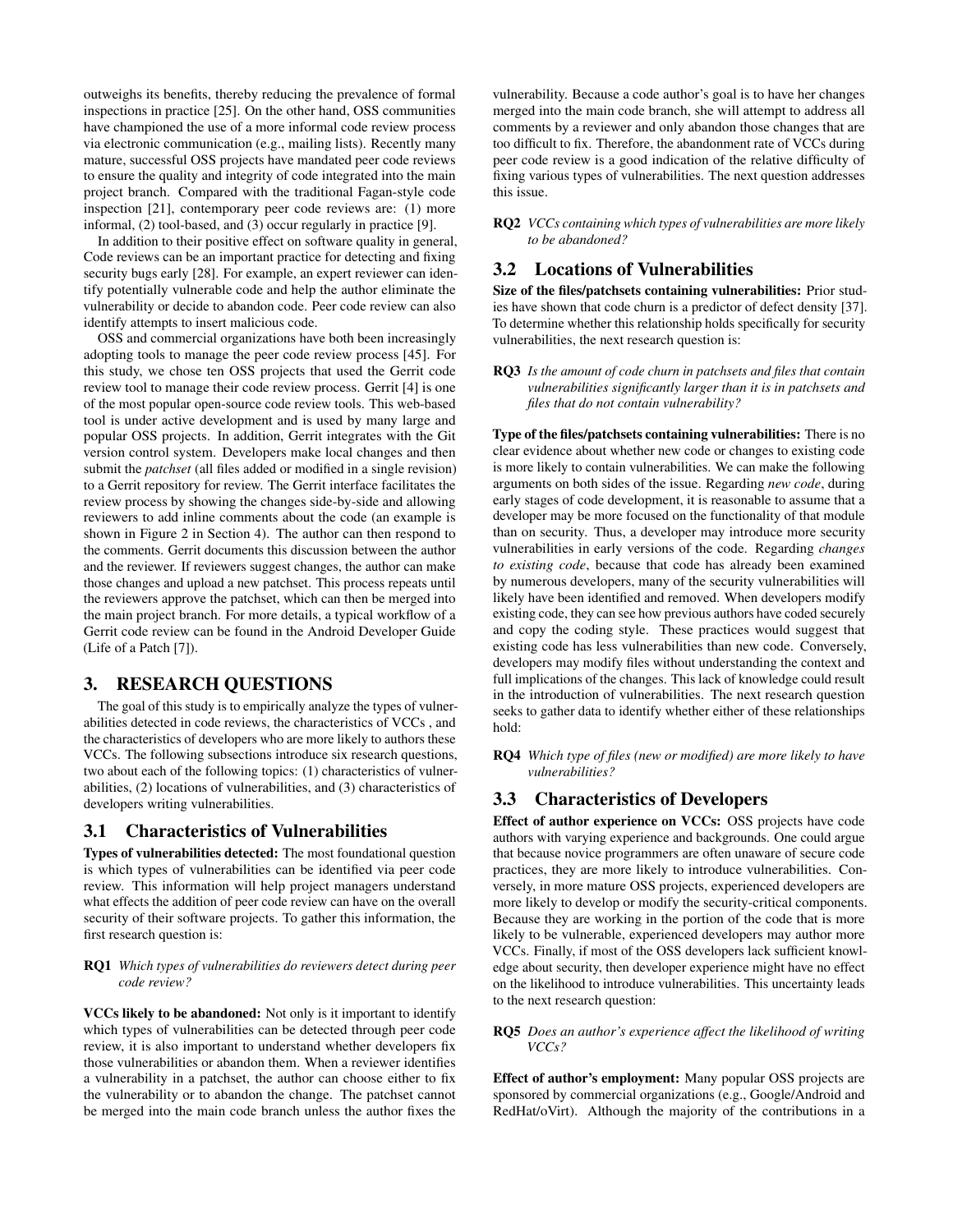outweighs its benefits, thereby reducing the prevalence of formal inspections in practice [25]. On the other hand, OSS communities have championed the use of a more informal code review process via electronic communication (e.g., mailing lists). Recently many mature, successful OSS projects have mandated peer code reviews to ensure the quality and integrity of code integrated into the main project branch. Compared with the traditional Fagan-style code inspection [21], contemporary peer code reviews are: (1) more informal, (2) tool-based, and (3) occur regularly in practice [9].

In addition to their positive effect on software quality in general, Code reviews can be an important practice for detecting and fixing security bugs early [28]. For example, an expert reviewer can identify potentially vulnerable code and help the author eliminate the vulnerability or decide to abandon code. Peer code review can also identify attempts to insert malicious code.

OSS and commercial organizations have both been increasingly adopting tools to manage the peer code review process [45]. For this study, we chose ten OSS projects that used the Gerrit code review tool to manage their code review process. Gerrit [4] is one of the most popular open-source code review tools. This web-based tool is under active development and is used by many large and popular OSS projects. In addition, Gerrit integrates with the Git version control system. Developers make local changes and then submit the *patchset* (all files added or modified in a single revision) to a Gerrit repository for review. The Gerrit interface facilitates the review process by showing the changes side-by-side and allowing reviewers to add inline comments about the code (an example is shown in Figure 2 in Section 4). The author can then respond to the comments. Gerrit documents this discussion between the author and the reviewer. If reviewers suggest changes, the author can make those changes and upload a new patchset. This process repeats until the reviewers approve the patchset, which can then be merged into the main project branch. For more details, a typical workflow of a Gerrit code review can be found in the Android Developer Guide (Life of a Patch [7]).

# 3. RESEARCH QUESTIONS

The goal of this study is to empirically analyze the types of vulnerabilities detected in code reviews, the characteristics of VCCs , and the characteristics of developers who are more likely to authors these VCCs. The following subsections introduce six research questions, two about each of the following topics: (1) characteristics of vulnerabilities, (2) locations of vulnerabilities, and (3) characteristics of developers writing vulnerabilities.

# 3.1 Characteristics of Vulnerabilities

Types of vulnerabilities detected: The most foundational question is which types of vulnerabilities can be identified via peer code review. This information will help project managers understand what effects the addition of peer code review can have on the overall security of their software projects. To gather this information, the first research question is:

#### RQ1 *Which types of vulnerabilities do reviewers detect during peer code review?*

VCCs likely to be abandoned: Not only is it important to identify which types of vulnerabilities can be detected through peer code review, it is also important to understand whether developers fix those vulnerabilities or abandon them. When a reviewer identifies a vulnerability in a patchset, the author can choose either to fix the vulnerability or to abandon the change. The patchset cannot be merged into the main code branch unless the author fixes the

vulnerability. Because a code author's goal is to have her changes merged into the main code branch, she will attempt to address all comments by a reviewer and only abandon those changes that are too difficult to fix. Therefore, the abandonment rate of VCCs during peer code review is a good indication of the relative difficulty of fixing various types of vulnerabilities. The next question addresses this issue.

RQ2 *VCCs containing which types of vulnerabilities are more likely to be abandoned?*

# 3.2 Locations of Vulnerabilities

Size of the files/patchsets containing vulnerabilities: Prior studies have shown that code churn is a predictor of defect density [37]. To determine whether this relationship holds specifically for security vulnerabilities, the next research question is:

RQ3 *Is the amount of code churn in patchsets and files that contain vulnerabilities significantly larger than it is in patchsets and files that do not contain vulnerability?*

Type of the files/patchsets containing vulnerabilities: There is no clear evidence about whether new code or changes to existing code is more likely to contain vulnerabilities. We can make the following arguments on both sides of the issue. Regarding *new code*, during early stages of code development, it is reasonable to assume that a developer may be more focused on the functionality of that module than on security. Thus, a developer may introduce more security vulnerabilities in early versions of the code. Regarding *changes to existing code*, because that code has already been examined by numerous developers, many of the security vulnerabilities will likely have been identified and removed. When developers modify existing code, they can see how previous authors have coded securely and copy the coding style. These practices would suggest that existing code has less vulnerabilities than new code. Conversely, developers may modify files without understanding the context and full implications of the changes. This lack of knowledge could result in the introduction of vulnerabilities. The next research question seeks to gather data to identify whether either of these relationships hold:

RQ4 *Which type of files (new or modified) are more likely to have vulnerabilities?*

# 3.3 Characteristics of Developers

Effect of author experience on VCCs: OSS projects have code authors with varying experience and backgrounds. One could argue that because novice programmers are often unaware of secure code practices, they are more likely to introduce vulnerabilities. Conversely, in more mature OSS projects, experienced developers are more likely to develop or modify the security-critical components. Because they are working in the portion of the code that is more likely to be vulnerable, experienced developers may author more VCCs. Finally, if most of the OSS developers lack sufficient knowledge about security, then developer experience might have no effect on the likelihood to introduce vulnerabilities. This uncertainty leads to the next research question:

#### RQ5 *Does an author's experience affect the likelihood of writing VCCs?*

Effect of author's employment: Many popular OSS projects are sponsored by commercial organizations (e.g., Google/Android and RedHat/oVirt). Although the majority of the contributions in a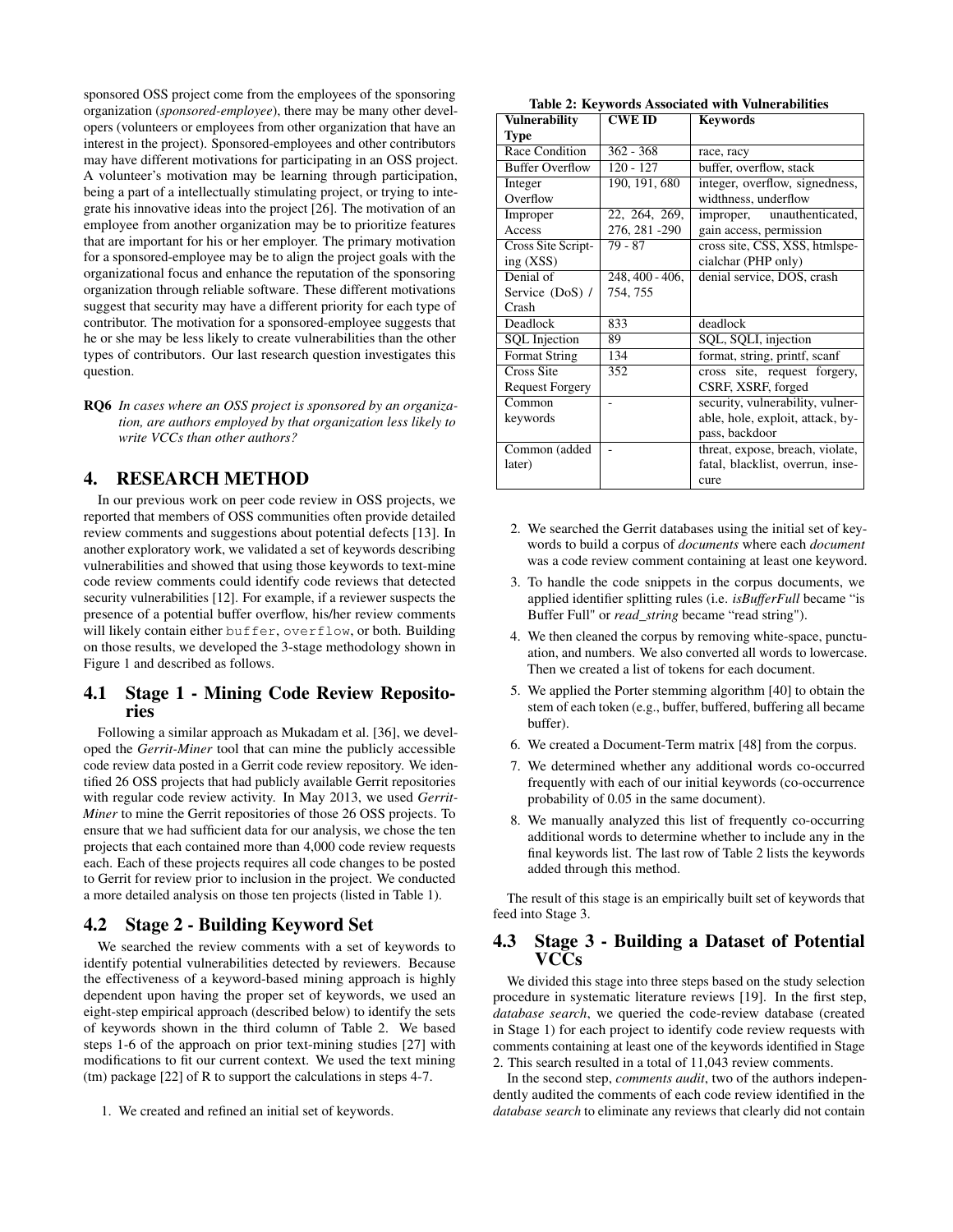sponsored OSS project come from the employees of the sponsoring organization (*sponsored-employee*), there may be many other developers (volunteers or employees from other organization that have an interest in the project). Sponsored-employees and other contributors may have different motivations for participating in an OSS project. A volunteer's motivation may be learning through participation, being a part of a intellectually stimulating project, or trying to integrate his innovative ideas into the project [26]. The motivation of an employee from another organization may be to prioritize features that are important for his or her employer. The primary motivation for a sponsored-employee may be to align the project goals with the organizational focus and enhance the reputation of the sponsoring organization through reliable software. These different motivations suggest that security may have a different priority for each type of contributor. The motivation for a sponsored-employee suggests that he or she may be less likely to create vulnerabilities than the other types of contributors. Our last research question investigates this question.

RQ6 *In cases where an OSS project is sponsored by an organization, are authors employed by that organization less likely to write VCCs than other authors?*

# 4. RESEARCH METHOD

In our previous work on peer code review in OSS projects, we reported that members of OSS communities often provide detailed review comments and suggestions about potential defects [13]. In another exploratory work, we validated a set of keywords describing vulnerabilities and showed that using those keywords to text-mine code review comments could identify code reviews that detected security vulnerabilities [12]. For example, if a reviewer suspects the presence of a potential buffer overflow, his/her review comments will likely contain either buffer, overflow, or both. Building on those results, we developed the 3-stage methodology shown in Figure 1 and described as follows.

### 4.1 Stage 1 - Mining Code Review Repositories

Following a similar approach as Mukadam et al. [36], we developed the *Gerrit-Miner* tool that can mine the publicly accessible code review data posted in a Gerrit code review repository. We identified 26 OSS projects that had publicly available Gerrit repositories with regular code review activity. In May 2013, we used *Gerrit-Miner* to mine the Gerrit repositories of those 26 OSS projects. To ensure that we had sufficient data for our analysis, we chose the ten projects that each contained more than 4,000 code review requests each. Each of these projects requires all code changes to be posted to Gerrit for review prior to inclusion in the project. We conducted a more detailed analysis on those ten projects (listed in Table 1).

# 4.2 Stage 2 - Building Keyword Set

We searched the review comments with a set of keywords to identify potential vulnerabilities detected by reviewers. Because the effectiveness of a keyword-based mining approach is highly dependent upon having the proper set of keywords, we used an eight-step empirical approach (described below) to identify the sets of keywords shown in the third column of Table 2. We based steps 1-6 of the approach on prior text-mining studies [27] with modifications to fit our current context. We used the text mining (tm) package [22] of R to support the calculations in steps 4-7.

1. We created and refined an initial set of keywords.

Table 2: Keywords Associated with Vulnerabilities

| <b>Vulnerability</b>   | <b>CWE ID</b>   | <b>Keywords</b>                  |
|------------------------|-----------------|----------------------------------|
| Type                   |                 |                                  |
| Race Condition         | $362 - 368$     | race, racy                       |
| <b>Buffer Overflow</b> | $120 - 127$     | buffer, overflow, stack          |
| Integer                | 190, 191, 680   | integer, overflow, signedness,   |
| Overflow               |                 | widthness, underflow             |
| Improper               | 22, 264, 269,   | improper, unauthenticated,       |
| Access                 | 276, 281 - 290  | gain access, permission          |
| Cross Site Script-     | 79 - 87         | cross site, CSS, XSS, htmlspe-   |
| ing(XSS)               |                 | cialchar (PHP only)              |
| Denial of              | 248, 400 - 406, | denial service, DOS, crash       |
| Service (DoS) /        | 754, 755        |                                  |
| Crash                  |                 |                                  |
| Deadlock               | 833             | deadlock                         |
| <b>SQL</b> Injection   | 89              | SQL, SQLI, injection             |
| Format String          | 134             | format, string, printf, scanf    |
| Cross Site             | 352             | cross site, request forgery,     |
| <b>Request Forgery</b> |                 | CSRF, XSRF, forged               |
| Common                 |                 | security, vulnerability, vulner- |
| keywords               |                 | able, hole, exploit, attack, by- |
|                        |                 | pass, backdoor                   |
| Common (added          |                 | threat, expose, breach, violate, |
| later)                 |                 | fatal, blacklist, overrun, inse- |
|                        |                 | cure                             |

- 2. We searched the Gerrit databases using the initial set of keywords to build a corpus of *documents* where each *document* was a code review comment containing at least one keyword.
- 3. To handle the code snippets in the corpus documents, we applied identifier splitting rules (i.e. *isBufferFull* became "is Buffer Full" or *read\_string* became "read string").
- 4. We then cleaned the corpus by removing white-space, punctuation, and numbers. We also converted all words to lowercase. Then we created a list of tokens for each document.
- 5. We applied the Porter stemming algorithm [40] to obtain the stem of each token (e.g., buffer, buffered, buffering all became buffer).
- 6. We created a Document-Term matrix [48] from the corpus.
- 7. We determined whether any additional words co-occurred frequently with each of our initial keywords (co-occurrence probability of 0.05 in the same document).
- 8. We manually analyzed this list of frequently co-occurring additional words to determine whether to include any in the final keywords list. The last row of Table 2 lists the keywords added through this method.

The result of this stage is an empirically built set of keywords that feed into Stage 3.

# 4.3 Stage 3 - Building a Dataset of Potential VCCs

We divided this stage into three steps based on the study selection procedure in systematic literature reviews [19]. In the first step, *database search*, we queried the code-review database (created in Stage 1) for each project to identify code review requests with comments containing at least one of the keywords identified in Stage 2. This search resulted in a total of 11,043 review comments.

In the second step, *comments audit*, two of the authors independently audited the comments of each code review identified in the *database search* to eliminate any reviews that clearly did not contain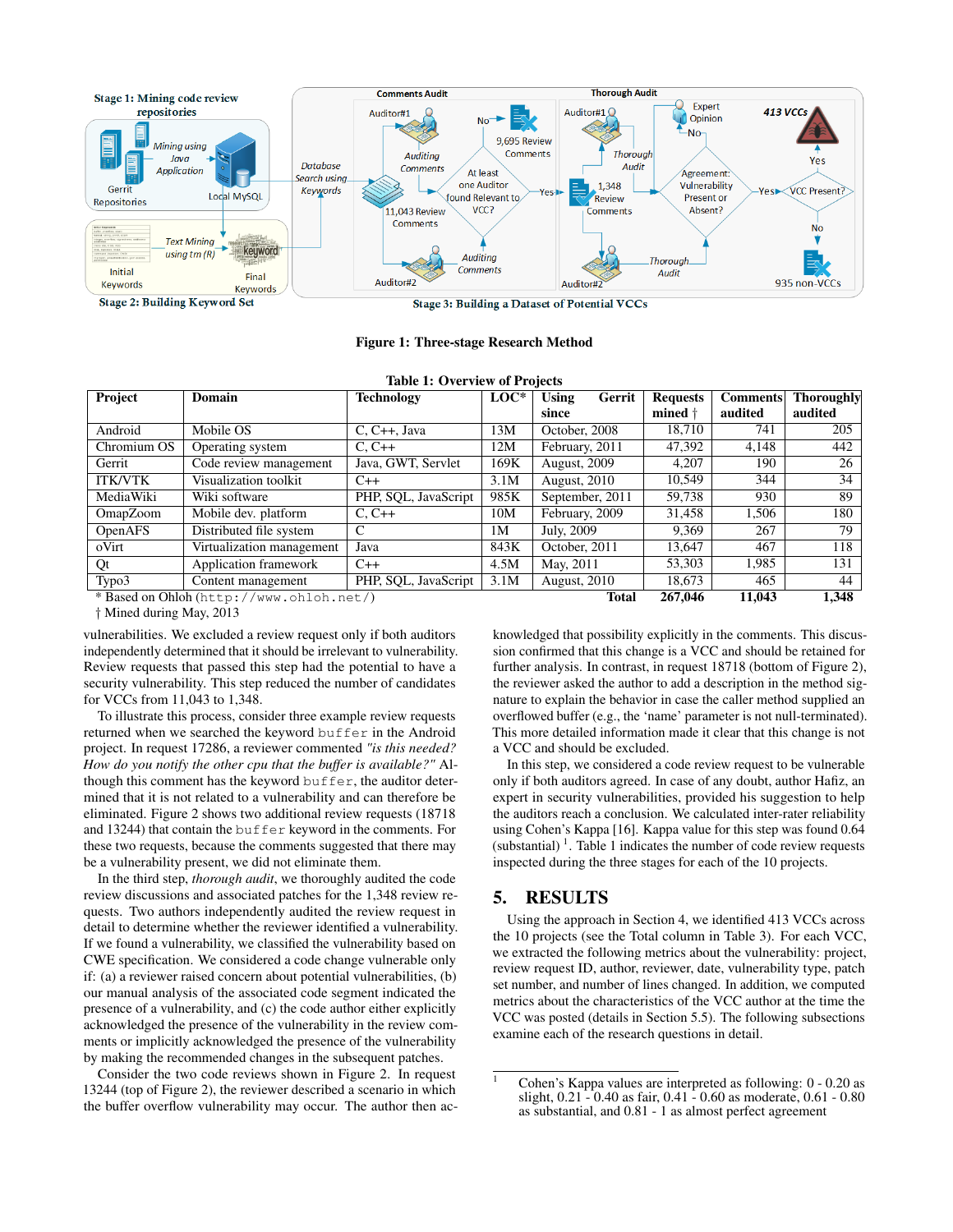

Figure 1: Three-stage Research Method

| Project         | Domain                                  | Table 1: Overview of Projects<br><b>Technology</b> | $LOC*$  | Gerrit<br><b>Using</b> | <b>Requests</b>    | <b>Comments</b> | <b>Thoroughly</b> |
|-----------------|-----------------------------------------|----------------------------------------------------|---------|------------------------|--------------------|-----------------|-------------------|
|                 |                                         |                                                    |         | since                  | mined <sup>+</sup> | audited         | audited           |
| Android         | Mobile OS                               | $C, C++, Java$                                     | 13M     | October, 2008          | 18.710             | 741             | 205               |
| Chromium OS     | Operating system                        | $C, C++$                                           | 12M     | February, 2011         | 47.392             | 4.148           | 442               |
| Gerrit          | Code review management                  | Java, GWT, Servlet                                 | 169K    | August, 2009           | 4.207              | 190             | 26                |
| <b>ITK/VTK</b>  | Visualization toolkit                   | $C++$                                              | 3.1M    | <b>August, 2010</b>    | 10.549             | 344             | 34                |
| MediaWiki       | Wiki software                           | PHP, SQL, JavaScript                               | 985K    | September, 2011        | 59,738             | 930             | 89                |
| <b>OmapZoom</b> | Mobile dev. platform                    | $C, C++$                                           | 10M     | February, 2009         | 31,458             | 1,506           | 180               |
| OpenAFS         | Distributed file system                 | C                                                  | 1M      | July, 2009             | 9.369              | 267             | 79                |
| oVirt           | Virtualization management               | Java                                               | 843K    | October, 2011          | 13,647             | 467             | 118               |
| Qt              | Application framework                   | $C++$                                              | 4.5M    | May, 2011              | 53,303             | 1.985           | 131               |
| Typo3           | Content management                      | PHP, SQL, JavaScript                               | 3.1M    | <b>August, 2010</b>    | 18.673             | 465             | 44                |
|                 | *Based on Ohloh (http://www.ohloh.net/) | Total                                              | 267,046 | 11.043                 | 1.348              |                 |                   |

Table 1: Overview of Projects

† Mined during May, 2013

vulnerabilities. We excluded a review request only if both auditors independently determined that it should be irrelevant to vulnerability. Review requests that passed this step had the potential to have a security vulnerability. This step reduced the number of candidates for VCCs from 11,043 to 1,348.

To illustrate this process, consider three example review requests returned when we searched the keyword buffer in the Android project. In request 17286, a reviewer commented *"is this needed? How do you notify the other cpu that the buffer is available?"* Although this comment has the keyword buffer, the auditor determined that it is not related to a vulnerability and can therefore be eliminated. Figure 2 shows two additional review requests (18718 and 13244) that contain the buffer keyword in the comments. For these two requests, because the comments suggested that there may be a vulnerability present, we did not eliminate them.

In the third step, *thorough audit*, we thoroughly audited the code review discussions and associated patches for the 1,348 review requests. Two authors independently audited the review request in detail to determine whether the reviewer identified a vulnerability. If we found a vulnerability, we classified the vulnerability based on CWE specification. We considered a code change vulnerable only if: (a) a reviewer raised concern about potential vulnerabilities, (b) our manual analysis of the associated code segment indicated the presence of a vulnerability, and (c) the code author either explicitly acknowledged the presence of the vulnerability in the review comments or implicitly acknowledged the presence of the vulnerability by making the recommended changes in the subsequent patches.

Consider the two code reviews shown in Figure 2. In request 13244 (top of Figure 2), the reviewer described a scenario in which the buffer overflow vulnerability may occur. The author then acknowledged that possibility explicitly in the comments. This discussion confirmed that this change is a VCC and should be retained for further analysis. In contrast, in request 18718 (bottom of Figure 2), the reviewer asked the author to add a description in the method signature to explain the behavior in case the caller method supplied an overflowed buffer (e.g., the 'name' parameter is not null-terminated). This more detailed information made it clear that this change is not a VCC and should be excluded.

In this step, we considered a code review request to be vulnerable only if both auditors agreed. In case of any doubt, author Hafiz, an expert in security vulnerabilities, provided his suggestion to help the auditors reach a conclusion. We calculated inter-rater reliability using Cohen's Kappa [16]. Kappa value for this step was found 0.64 (substantial)<sup>1</sup>. Table 1 indicates the number of code review requests inspected during the three stages for each of the 10 projects.

# 5. RESULTS

Using the approach in Section 4, we identified 413 VCCs across the 10 projects (see the Total column in Table 3). For each VCC, we extracted the following metrics about the vulnerability: project, review request ID, author, reviewer, date, vulnerability type, patch set number, and number of lines changed. In addition, we computed metrics about the characteristics of the VCC author at the time the VCC was posted (details in Section 5.5). The following subsections examine each of the research questions in detail.

<sup>&</sup>lt;sup>1</sup> Cohen's Kappa values are interpreted as following:  $0 - 0.20$  as slight, 0.21 - 0.40 as fair, 0.41 - 0.60 as moderate, 0.61 - 0.80 as substantial, and 0.81 - 1 as almost perfect agreement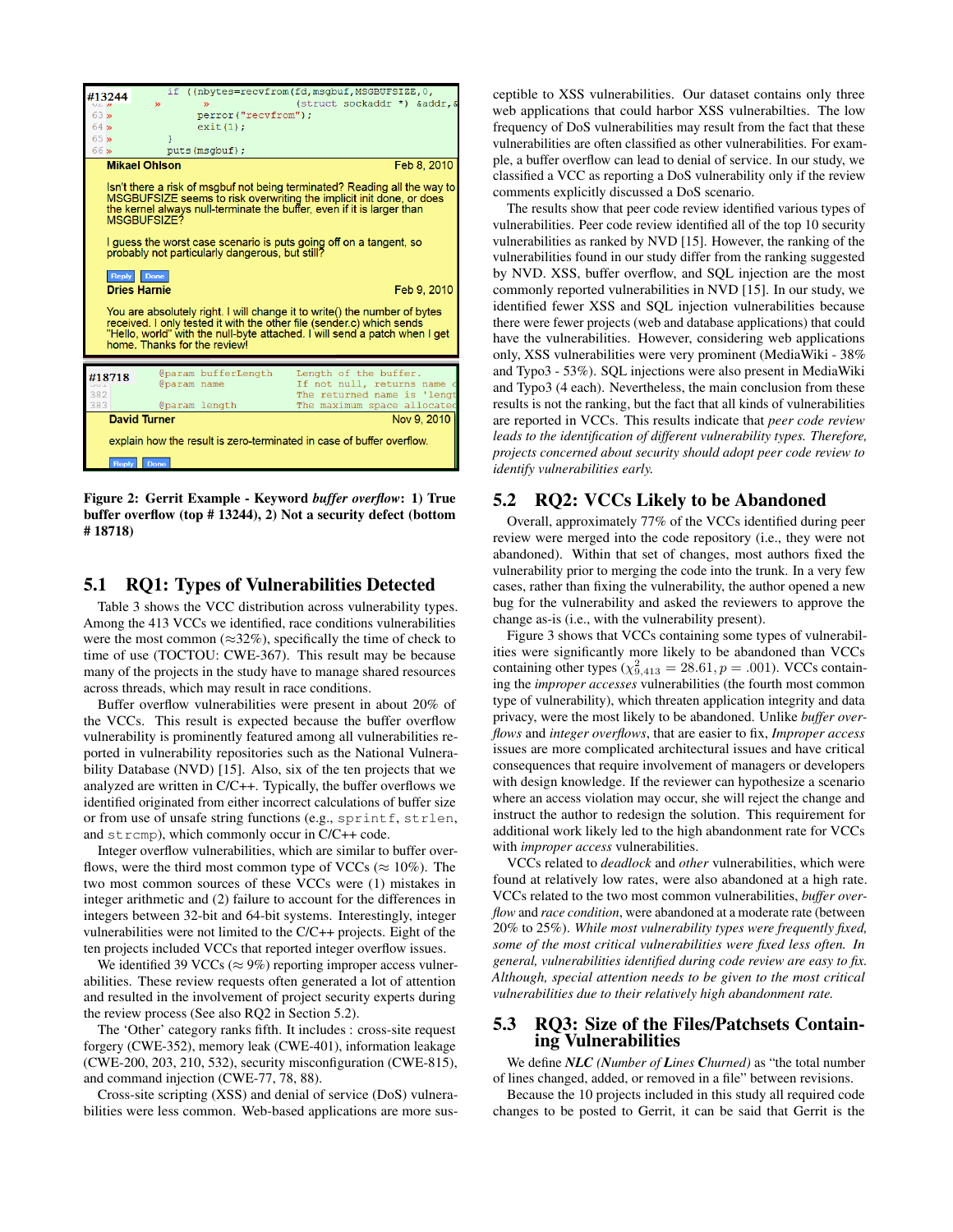| #13244                                                                                                                                                                                                                                                                                                                                                                               | if ((nbytes=recvfrom(fd,msgbuf,MSGBUFSIZE,0,                                                                     |  |  |  |  |  |  |  |  |
|--------------------------------------------------------------------------------------------------------------------------------------------------------------------------------------------------------------------------------------------------------------------------------------------------------------------------------------------------------------------------------------|------------------------------------------------------------------------------------------------------------------|--|--|--|--|--|--|--|--|
| »<br>$\infty$<br>17.33                                                                                                                                                                                                                                                                                                                                                               | (struct sockaddr *) &addr. &                                                                                     |  |  |  |  |  |  |  |  |
| perror("recvfrom");<br>63 <b>x</b>                                                                                                                                                                                                                                                                                                                                                   |                                                                                                                  |  |  |  |  |  |  |  |  |
| $exit(1)$ :<br>$64 \times$                                                                                                                                                                                                                                                                                                                                                           |                                                                                                                  |  |  |  |  |  |  |  |  |
| 65 <sub>2</sub>                                                                                                                                                                                                                                                                                                                                                                      |                                                                                                                  |  |  |  |  |  |  |  |  |
| 66 <sub>x</sub><br>puts (msgbuf);                                                                                                                                                                                                                                                                                                                                                    |                                                                                                                  |  |  |  |  |  |  |  |  |
| <b>Mikael Ohlson</b>                                                                                                                                                                                                                                                                                                                                                                 | Feb 8, 2010                                                                                                      |  |  |  |  |  |  |  |  |
| Isn't there a risk of msgbuf not being terminated? Reading all the way to<br>MSGBUFSIZE seems to risk overwriting the implicit init done, or does<br>the kernel always null-terminate the buffer, even if it is larger than<br>MSGBUFSIZE?<br>I guess the worst case scenario is puts going off on a tangent, so<br>probably not particularly dangerous, but still?<br>Done<br>Reply |                                                                                                                  |  |  |  |  |  |  |  |  |
| <b>Dries Harnie</b>                                                                                                                                                                                                                                                                                                                                                                  | Feb 9, 2010                                                                                                      |  |  |  |  |  |  |  |  |
| You are absolutely right. I will change it to write() the number of bytes<br>received. I only tested it with the other file (sender.c) which sends<br>"Hello, world" with the null-byte attached. I will send a patch when I get<br>home Thanks for the review!                                                                                                                      |                                                                                                                  |  |  |  |  |  |  |  |  |
| @param bufferLength<br>#18718<br>@param name<br>3011<br>382<br>383<br>@param length                                                                                                                                                                                                                                                                                                  | Length of the buffer.<br>If not null, returns name<br>The returned name is 'lengt<br>The maximum space allocated |  |  |  |  |  |  |  |  |
| <b>David Turner</b>                                                                                                                                                                                                                                                                                                                                                                  | Nov 9, 2010                                                                                                      |  |  |  |  |  |  |  |  |
| explain how the result is zero-terminated in case of buffer overflow.                                                                                                                                                                                                                                                                                                                |                                                                                                                  |  |  |  |  |  |  |  |  |
| Done<br>Reply                                                                                                                                                                                                                                                                                                                                                                        |                                                                                                                  |  |  |  |  |  |  |  |  |

Figure 2: Gerrit Example - Keyword *buffer overflow*: 1) True buffer overflow (top # 13244), 2) Not a security defect (bottom # 18718)

# 5.1 RQ1: Types of Vulnerabilities Detected

Table 3 shows the VCC distribution across vulnerability types. Among the 413 VCCs we identified, race conditions vulnerabilities were the most common ( $\approx$ 32%), specifically the time of check to time of use (TOCTOU: CWE-367). This result may be because many of the projects in the study have to manage shared resources across threads, which may result in race conditions.

Buffer overflow vulnerabilities were present in about 20% of the VCCs. This result is expected because the buffer overflow vulnerability is prominently featured among all vulnerabilities reported in vulnerability repositories such as the National Vulnerability Database (NVD) [15]. Also, six of the ten projects that we analyzed are written in C/C++. Typically, the buffer overflows we identified originated from either incorrect calculations of buffer size or from use of unsafe string functions (e.g., sprintf, strlen, and strcmp), which commonly occur in C/C++ code.

Integer overflow vulnerabilities, which are similar to buffer overflows, were the third most common type of VCCs ( $\approx 10\%$ ). The two most common sources of these VCCs were (1) mistakes in integer arithmetic and (2) failure to account for the differences in integers between 32-bit and 64-bit systems. Interestingly, integer vulnerabilities were not limited to the C/C++ projects. Eight of the ten projects included VCCs that reported integer overflow issues.

We identified 39 VCCs ( $\approx$  9%) reporting improper access vulnerabilities. These review requests often generated a lot of attention and resulted in the involvement of project security experts during the review process (See also RQ2 in Section 5.2).

The 'Other' category ranks fifth. It includes : cross-site request forgery (CWE-352), memory leak (CWE-401), information leakage (CWE-200, 203, 210, 532), security misconfiguration (CWE-815), and command injection (CWE-77, 78, 88).

Cross-site scripting (XSS) and denial of service (DoS) vulnerabilities were less common. Web-based applications are more susceptible to XSS vulnerabilities. Our dataset contains only three web applications that could harbor XSS vulnerabilties. The low frequency of DoS vulnerabilities may result from the fact that these vulnerabilities are often classified as other vulnerabilities. For example, a buffer overflow can lead to denial of service. In our study, we classified a VCC as reporting a DoS vulnerability only if the review comments explicitly discussed a DoS scenario.

The results show that peer code review identified various types of vulnerabilities. Peer code review identified all of the top 10 security vulnerabilities as ranked by NVD [15]. However, the ranking of the vulnerabilities found in our study differ from the ranking suggested by NVD. XSS, buffer overflow, and SQL injection are the most commonly reported vulnerabilities in NVD [15]. In our study, we identified fewer XSS and SQL injection vulnerabilities because there were fewer projects (web and database applications) that could have the vulnerabilities. However, considering web applications only, XSS vulnerabilities were very prominent (MediaWiki - 38% and Typo3 - 53%). SQL injections were also present in MediaWiki and Typo3 (4 each). Nevertheless, the main conclusion from these results is not the ranking, but the fact that all kinds of vulnerabilities are reported in VCCs. This results indicate that *peer code review leads to the identification of different vulnerability types. Therefore, projects concerned about security should adopt peer code review to identify vulnerabilities early.*

# 5.2 RQ2: VCCs Likely to be Abandoned

Overall, approximately 77% of the VCCs identified during peer review were merged into the code repository (i.e., they were not abandoned). Within that set of changes, most authors fixed the vulnerability prior to merging the code into the trunk. In a very few cases, rather than fixing the vulnerability, the author opened a new bug for the vulnerability and asked the reviewers to approve the change as-is (i.e., with the vulnerability present).

Figure 3 shows that VCCs containing some types of vulnerabilities were significantly more likely to be abandoned than VCCs containing other types  $(\chi_{9,413}^2 = 28.61, p = .001)$ . VCCs containing the *improper accesses* vulnerabilities (the fourth most common type of vulnerability), which threaten application integrity and data privacy, were the most likely to be abandoned. Unlike *buffer overflows* and *integer overflows*, that are easier to fix, *Improper access* issues are more complicated architectural issues and have critical consequences that require involvement of managers or developers with design knowledge. If the reviewer can hypothesize a scenario where an access violation may occur, she will reject the change and instruct the author to redesign the solution. This requirement for additional work likely led to the high abandonment rate for VCCs with *improper access* vulnerabilities.

VCCs related to *deadlock* and *other* vulnerabilities, which were found at relatively low rates, were also abandoned at a high rate. VCCs related to the two most common vulnerabilities, *buffer overflow* and *race condition*, were abandoned at a moderate rate (between 20% to 25%). *While most vulnerability types were frequently fixed, some of the most critical vulnerabilities were fixed less often. In general, vulnerabilities identified during code review are easy to fix. Although, special attention needs to be given to the most critical vulnerabilities due to their relatively high abandonment rate.*

#### 5.3 RQ3: Size of the Files/Patchsets Containing Vulnerabilities

We define *NLC (Number of Lines Churned)* as "the total number of lines changed, added, or removed in a file" between revisions.

Because the 10 projects included in this study all required code changes to be posted to Gerrit, it can be said that Gerrit is the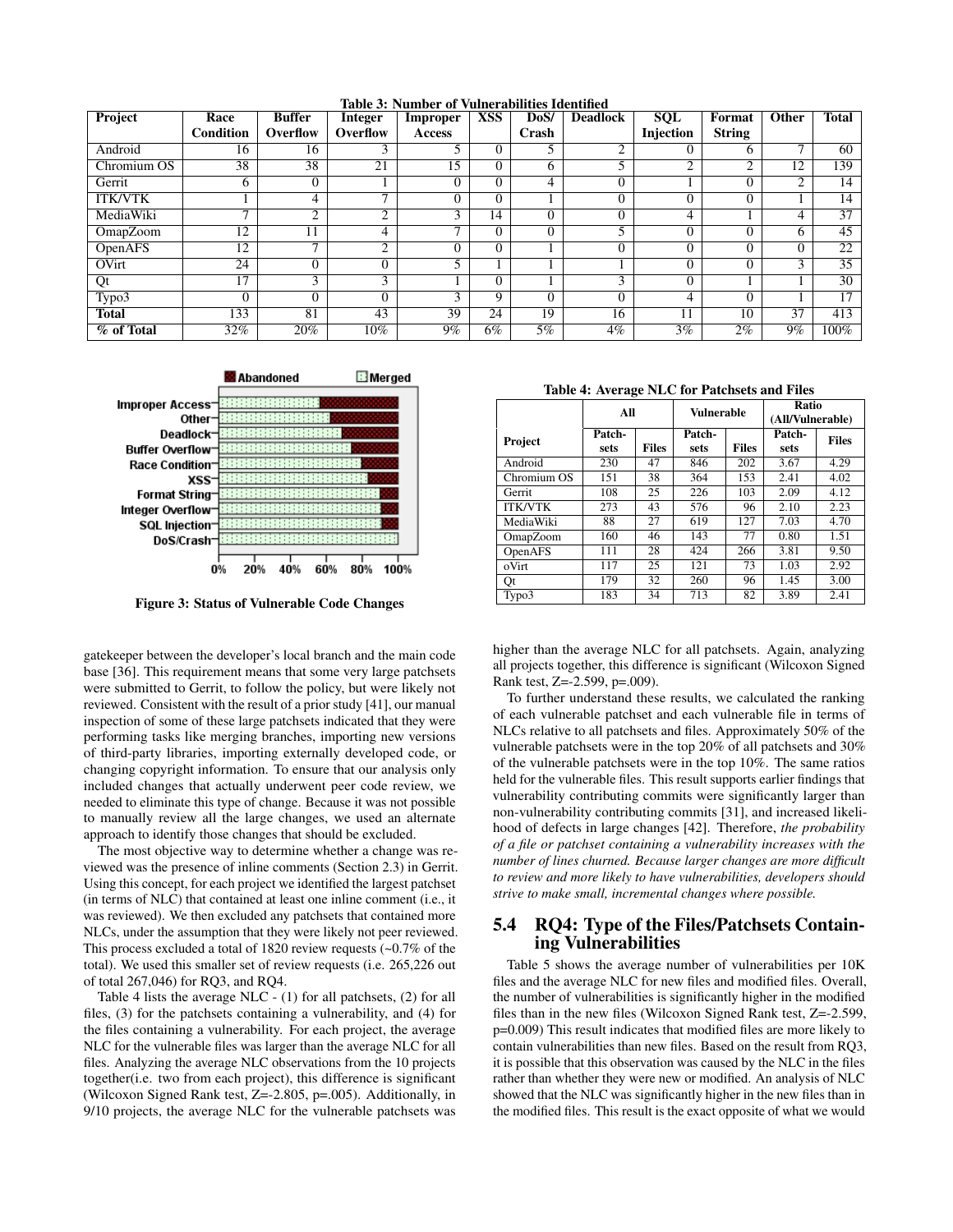| Project        | Race             | <b>Buffer</b>  | Integer       | Improper       | <b>XSS</b> | DoS/  | <b>Deadlock</b> | SQL              | Format        | Other        | <b>Total</b>    |
|----------------|------------------|----------------|---------------|----------------|------------|-------|-----------------|------------------|---------------|--------------|-----------------|
|                | <b>Condition</b> | Overflow       | Overflow      | <b>Access</b>  |            | Crash |                 | <b>Injection</b> | <b>String</b> |              |                 |
| Android        | 16               | 16             | 3             |                | $\Omega$   |       | 2               | $\overline{0}$   | 6.            | $\mathbf{r}$ | 60              |
| Chromium OS    | 38               | 38             | 21            | 15             | $\Omega$   | 6     | 5               | 2                | $\sim$        | 12           | 139             |
| Gerrit         | 6                | 0              |               |                | $\Omega$   | 4     | $\theta$        |                  | 0             | ↑            | 14              |
| <b>ITK/VTK</b> |                  | 4              | $\mathbf{r}$  |                |            |       | $\theta$        | $\theta$         | 0             |              | 14              |
| MediaWiki      |                  | $\overline{c}$ | C             | 3              | 14         |       | 0               | 4                |               |              | 37              |
| OmapZoom       | 12               |                | 4             | $\overline{ }$ |            |       | 5               | $\Omega$         | $\Omega$      | 6            | $\overline{45}$ |
| OpenAFS        | 12               | ⇁              | $\mathcal{L}$ |                | $\Omega$   |       | $\theta$        | $\mathbf{0}$     | 0             |              | 22              |
| OVirt          | 24               | $\theta$       | $\Omega$      |                |            |       |                 | $\Omega$         | $\Omega$      | $\mathbf{R}$ | 35              |
| Qt             | 17               | 3              | 3             |                |            |       | 3               | $\Omega$         |               |              | 30              |
| Typo3          |                  | $\theta$       | $\Omega$      | 3              | 9          |       | $\theta$        | 4                | 0             |              | 17              |
| <b>Total</b>   | 133              | 81             | 43            | 39             | 24         | 19    | 16              | 11               | 10            | 37           | 413             |
| % of Total     | 32%              | 20%            | $10\%$        | $9\%$          | 6%         | 5%    | $4\%$           | 3%               | $2\%$         | 9%           | 100%            |

Table 3: Number of Vulnerabilities Identified



Figure 3: Status of Vulnerable Code Changes

gatekeeper between the developer's local branch and the main code base [36]. This requirement means that some very large patchsets were submitted to Gerrit, to follow the policy, but were likely not reviewed. Consistent with the result of a prior study [41], our manual inspection of some of these large patchsets indicated that they were performing tasks like merging branches, importing new versions of third-party libraries, importing externally developed code, or changing copyright information. To ensure that our analysis only included changes that actually underwent peer code review, we needed to eliminate this type of change. Because it was not possible to manually review all the large changes, we used an alternate approach to identify those changes that should be excluded.

The most objective way to determine whether a change was reviewed was the presence of inline comments (Section 2.3) in Gerrit. Using this concept, for each project we identified the largest patchset (in terms of NLC) that contained at least one inline comment (i.e., it was reviewed). We then excluded any patchsets that contained more NLCs, under the assumption that they were likely not peer reviewed. This process excluded a total of 1820 review requests (~0.7% of the total). We used this smaller set of review requests (i.e. 265,226 out of total 267,046) for RQ3, and RQ4.

Table 4 lists the average NLC - (1) for all patchsets, (2) for all files, (3) for the patchsets containing a vulnerability, and (4) for the files containing a vulnerability. For each project, the average NLC for the vulnerable files was larger than the average NLC for all files. Analyzing the average NLC observations from the 10 projects together(i.e. two from each project), this difference is significant (Wilcoxon Signed Rank test, Z=-2.805, p=.005). Additionally, in 9/10 projects, the average NLC for the vulnerable patchsets was

Table 4: Average NLC for Patchsets and Files

|                | All    |              | Vulnerable |              | Ratio            |              |  |
|----------------|--------|--------------|------------|--------------|------------------|--------------|--|
|                |        |              |            |              | (All/Vulnerable) |              |  |
| Project        | Patch- |              | Patch-     |              | Patch-           | <b>Files</b> |  |
|                | sets   | <b>Files</b> | sets       | <b>Files</b> | sets             |              |  |
| Android        | 230    | 47           | 846        | 202          | 3.67             | 4.29         |  |
| Chromium OS    | 151    | 38           | 364        | 153          | 2.41             | 4.02         |  |
| Gerrit         | 108    | 25           | 226        | 103          | 2.09             | 4.12         |  |
| <b>ITK/VTK</b> | 273    | 43           | 576        | 96           | 2.10             | 2.23         |  |
| MediaWiki      | 88     | 27           | 619        | 127          | 7.03             | 4.70         |  |
| OmapZoom       | 160    | 46           | 143        | 77           | 0.80             | 1.51         |  |
| OpenAFS        | 111    | 28           | 424        | 266          | 3.81             | 9.50         |  |
| oVirt          | 117    | 25           | 121        | 73           | 1.03             | 2.92         |  |
| Qt             | 179    | 32           | 260        | 96           | 1.45             | 3.00         |  |
| Typo3          | 183    | 34           | 713        | 82           | 3.89             | 2.41         |  |

higher than the average NLC for all patchsets. Again, analyzing all projects together, this difference is significant (Wilcoxon Signed Rank test, Z=-2.599, p=.009).

To further understand these results, we calculated the ranking of each vulnerable patchset and each vulnerable file in terms of NLCs relative to all patchsets and files. Approximately 50% of the vulnerable patchsets were in the top 20% of all patchsets and 30% of the vulnerable patchsets were in the top 10%. The same ratios held for the vulnerable files. This result supports earlier findings that vulnerability contributing commits were significantly larger than non-vulnerability contributing commits [31], and increased likelihood of defects in large changes [42]. Therefore, *the probability of a file or patchset containing a vulnerability increases with the number of lines churned. Because larger changes are more difficult to review and more likely to have vulnerabilities, developers should strive to make small, incremental changes where possible.*

# 5.4 RQ4: Type of the Files/Patchsets Containing Vulnerabilities

Table 5 shows the average number of vulnerabilities per 10K files and the average NLC for new files and modified files. Overall, the number of vulnerabilities is significantly higher in the modified files than in the new files (Wilcoxon Signed Rank test, Z=-2.599, p=0.009) This result indicates that modified files are more likely to contain vulnerabilities than new files. Based on the result from RQ3, it is possible that this observation was caused by the NLC in the files rather than whether they were new or modified. An analysis of NLC showed that the NLC was significantly higher in the new files than in the modified files. This result is the exact opposite of what we would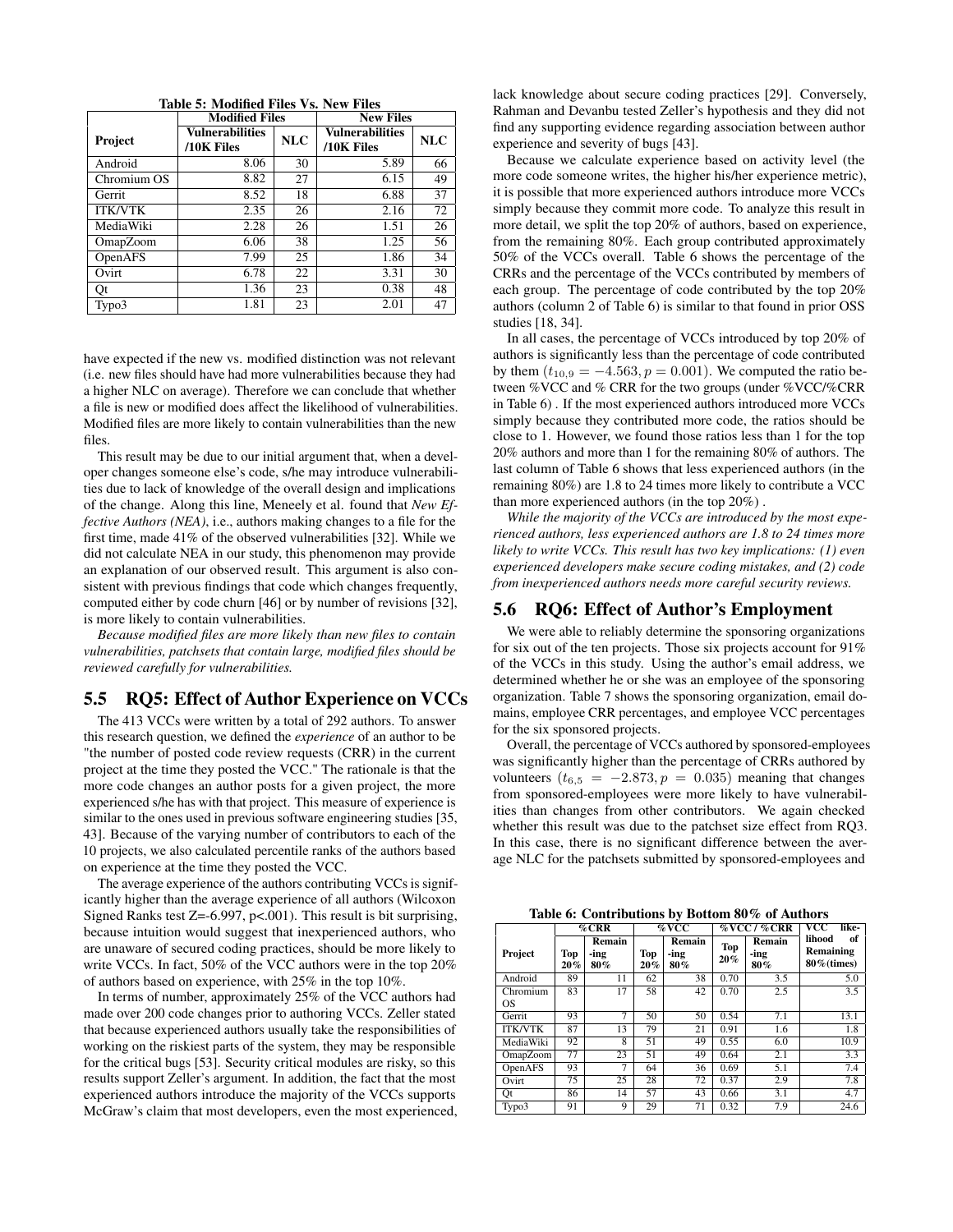|                | <b>Modified Files</b>         |     | <b>New Files</b>              |            |  |
|----------------|-------------------------------|-----|-------------------------------|------------|--|
| Project        | Vulnerabilities<br>/10K Files | NLC | Vulnerabilities<br>/10K Files | <b>NLC</b> |  |
| Android        | 8.06                          | 30  | 5.89                          | 66         |  |
| Chromium OS    | 8.82                          | 27  | 6.15                          | 49         |  |
| Gerrit         | 8.52                          | 18  | 6.88                          | 37         |  |
| <b>ITK/VTK</b> | 2.35                          | 26  | 2.16                          | 72         |  |
| MediaWiki      | 2.28                          | 26  | 1.51                          | 26         |  |
| OmapZoom       | 6.06                          | 38  | 1.25                          | 56         |  |
| OpenAFS        | 7.99                          | 25  | 1.86                          | 34         |  |
| Ovirt          | 6.78                          | 22  | 3.31                          | 30         |  |
| Ot             | 1.36                          | 23  | 0.38                          | 48         |  |
| Typo3          | 1.81                          | 23  | 2.01                          | 47         |  |

Table 5: Modified Files Vs. New Files

have expected if the new vs. modified distinction was not relevant (i.e. new files should have had more vulnerabilities because they had a higher NLC on average). Therefore we can conclude that whether a file is new or modified does affect the likelihood of vulnerabilities. Modified files are more likely to contain vulnerabilities than the new files.

This result may be due to our initial argument that, when a developer changes someone else's code, s/he may introduce vulnerabilities due to lack of knowledge of the overall design and implications of the change. Along this line, Meneely et al. found that *New Effective Authors (NEA)*, i.e., authors making changes to a file for the first time, made 41% of the observed vulnerabilities [32]. While we did not calculate NEA in our study, this phenomenon may provide an explanation of our observed result. This argument is also consistent with previous findings that code which changes frequently, computed either by code churn [46] or by number of revisions [32], is more likely to contain vulnerabilities.

*Because modified files are more likely than new files to contain vulnerabilities, patchsets that contain large, modified files should be reviewed carefully for vulnerabilities.*

### 5.5 RQ5: Effect of Author Experience on VCCs

The 413 VCCs were written by a total of 292 authors. To answer this research question, we defined the *experience* of an author to be "the number of posted code review requests (CRR) in the current project at the time they posted the VCC." The rationale is that the more code changes an author posts for a given project, the more experienced s/he has with that project. This measure of experience is similar to the ones used in previous software engineering studies [35, 43]. Because of the varying number of contributors to each of the 10 projects, we also calculated percentile ranks of the authors based on experience at the time they posted the VCC.

The average experience of the authors contributing VCCs is significantly higher than the average experience of all authors (Wilcoxon Signed Ranks test Z=-6.997, p<.001). This result is bit surprising, because intuition would suggest that inexperienced authors, who are unaware of secured coding practices, should be more likely to write VCCs. In fact, 50% of the VCC authors were in the top 20% of authors based on experience, with 25% in the top 10%.

In terms of number, approximately 25% of the VCC authors had made over 200 code changes prior to authoring VCCs. Zeller stated that because experienced authors usually take the responsibilities of working on the riskiest parts of the system, they may be responsible for the critical bugs [53]. Security critical modules are risky, so this results support Zeller's argument. In addition, the fact that the most experienced authors introduce the majority of the VCCs supports McGraw's claim that most developers, even the most experienced, lack knowledge about secure coding practices [29]. Conversely, Rahman and Devanbu tested Zeller's hypothesis and they did not find any supporting evidence regarding association between author experience and severity of bugs [43].

Because we calculate experience based on activity level (the more code someone writes, the higher his/her experience metric), it is possible that more experienced authors introduce more VCCs simply because they commit more code. To analyze this result in more detail, we split the top 20% of authors, based on experience, from the remaining 80%. Each group contributed approximately 50% of the VCCs overall. Table 6 shows the percentage of the CRRs and the percentage of the VCCs contributed by members of each group. The percentage of code contributed by the top 20% authors (column 2 of Table 6) is similar to that found in prior OSS studies [18, 34].

In all cases, the percentage of VCCs introduced by top 20% of authors is significantly less than the percentage of code contributed by them  $(t_{10,9} = -4.563, p = 0.001)$ . We computed the ratio between %VCC and % CRR for the two groups (under %VCC/%CRR in Table 6) . If the most experienced authors introduced more VCCs simply because they contributed more code, the ratios should be close to 1. However, we found those ratios less than 1 for the top 20% authors and more than 1 for the remaining 80% of authors. The last column of Table 6 shows that less experienced authors (in the remaining 80%) are 1.8 to 24 times more likely to contribute a VCC than more experienced authors (in the top 20%) .

*While the majority of the VCCs are introduced by the most experienced authors, less experienced authors are 1.8 to 24 times more likely to write VCCs. This result has two key implications: (1) even experienced developers make secure coding mistakes, and (2) code from inexperienced authors needs more careful security reviews.*

### 5.6 RQ6: Effect of Author's Employment

We were able to reliably determine the sponsoring organizations for six out of the ten projects. Those six projects account for 91% of the VCCs in this study. Using the author's email address, we determined whether he or she was an employee of the sponsoring organization. Table 7 shows the sponsoring organization, email domains, employee CRR percentages, and employee VCC percentages for the six sponsored projects.

Overall, the percentage of VCCs authored by sponsored-employees was significantly higher than the percentage of CRRs authored by volunteers  $(t_{6,5} = -2.873, p = 0.035)$  meaning that changes from sponsored-employees were more likely to have vulnerabilities than changes from other contributors. We again checked whether this result was due to the patchset size effect from RQ3. In this case, there is no significant difference between the average NLC for the patchsets submitted by sponsored-employees and

Table 6: Contributions by Bottom 80% of Authors

| $-1$           |            |                       |            |                       |                   |                       |                                          |  |  |
|----------------|------------|-----------------------|------------|-----------------------|-------------------|-----------------------|------------------------------------------|--|--|
|                |            | $\%$ CRR              |            | $\%$ VCC              | $%$ VCC / $%$ CRR |                       | like-<br>vcc                             |  |  |
| Project        | Top<br>20% | Remain<br>-ing<br>80% | Top<br>20% | Remain<br>-ing<br>80% | Top<br>20%        | Remain<br>-ing<br>80% | lihood<br>of<br>Remaining<br>80% (times) |  |  |
| Android        | 89         | 11                    | 62         | 38                    | 0.70              | $\overline{3.5}$      | 5.0                                      |  |  |
| Chromium<br>OS | 83         | 17                    | 58         | 42                    | 0.70              | 2.5                   | 3.5                                      |  |  |
| Gerrit         | 93         | 7                     | 50         | 50                    | 0.54              | 7.1                   | 13.1                                     |  |  |
| <b>ITK/VTK</b> | 87         | 13                    | 79         | 21                    | 0.91              | 1.6                   | 1.8                                      |  |  |
| MediaWiki      | 92         | 8                     | 51         | 49                    | 0.55              | 6.0                   | 10.9                                     |  |  |
| OmapZoom       | 77         | 23                    | 51         | 49                    | 0.64              | 2.1                   | 3.3                                      |  |  |
| OpenAFS        | 93         | 7                     | 64         | 36                    | 0.69              | 5.1                   | 7.4                                      |  |  |
| Ovirt          | 75         | 25                    | 28         | 72                    | 0.37              | 2.9                   | 7.8                                      |  |  |
| Qt             | 86         | 14                    | 57         | 43                    | 0.66              | 3.1                   | 4.7                                      |  |  |
| Typo3          | 91         | 9                     | 29         | 71                    | 0.32              | 7.9                   | 24.6                                     |  |  |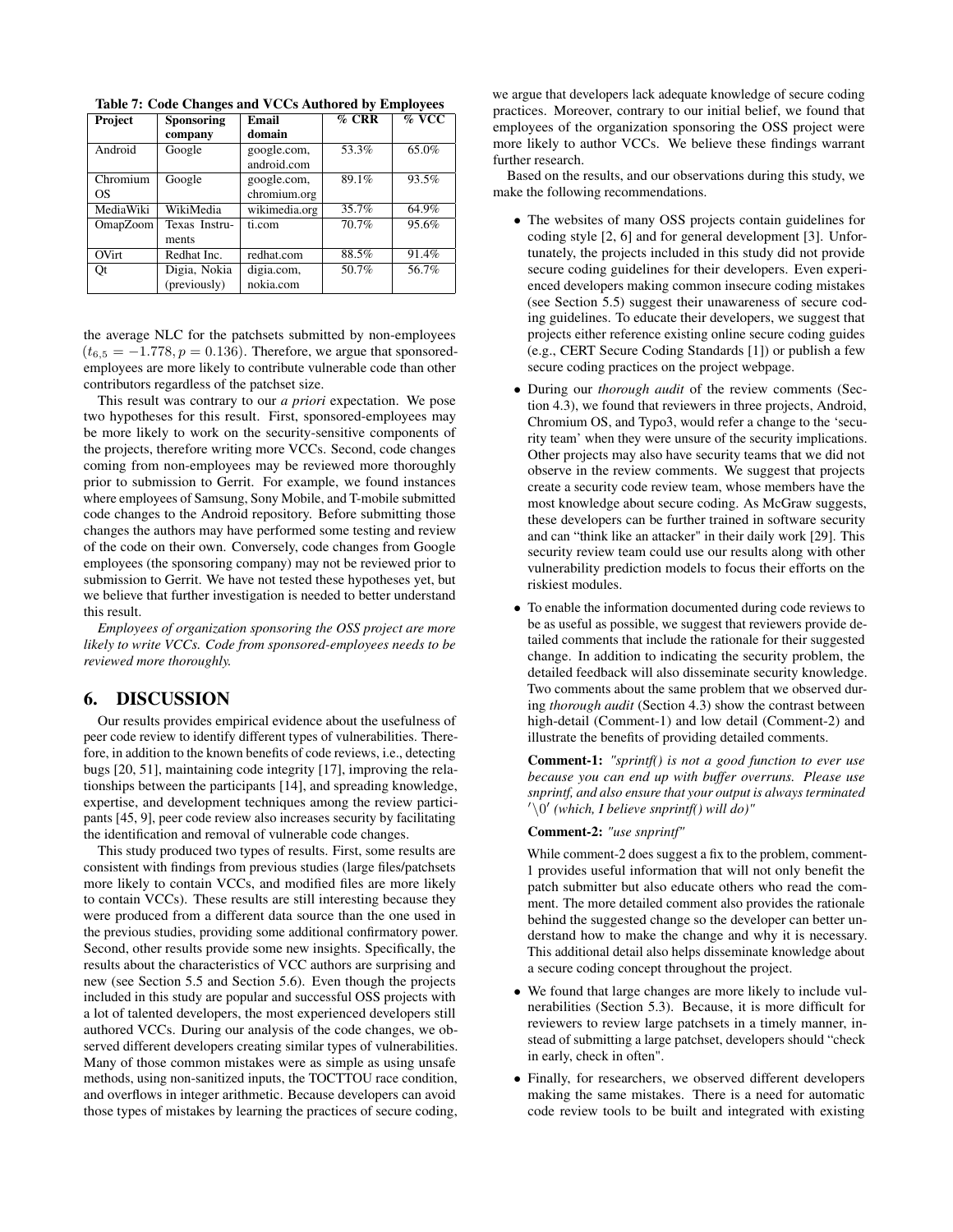| Project         | Sponsoring    | Email         | $%$ CRR | $\overline{\%$ VCC |
|-----------------|---------------|---------------|---------|--------------------|
|                 | company       | domain        |         |                    |
| Android         | Google        | google.com,   | 53.3%   | 65.0%              |
|                 |               | android.com   |         |                    |
| Chromium        | Google        | google.com,   | 89.1%   | 93.5%              |
| OS              |               | chromium.org  |         |                    |
| MediaWiki       | WikiMedia     | wikimedia.org | 35.7%   | 64.9%              |
| <b>OmapZoom</b> | Texas Instru- | ti.com        | 70.7%   | 95.6%              |
|                 | ments         |               |         |                    |
| OVirt           | Redhat Inc.   | redhat.com    | 88.5%   | 91.4%              |
| Qt              | Digia, Nokia  | digia.com,    | 50.7%   | 56.7%              |
|                 | (previously)  | nokia.com     |         |                    |

Table 7: Code Changes and VCCs Authored by Employees

the average NLC for the patchsets submitted by non-employees  $(t_{6,5} = -1.778, p = 0.136)$ . Therefore, we argue that sponsoredemployees are more likely to contribute vulnerable code than other contributors regardless of the patchset size.

This result was contrary to our *a priori* expectation. We pose two hypotheses for this result. First, sponsored-employees may be more likely to work on the security-sensitive components of the projects, therefore writing more VCCs. Second, code changes coming from non-employees may be reviewed more thoroughly prior to submission to Gerrit. For example, we found instances where employees of Samsung, Sony Mobile, and T-mobile submitted code changes to the Android repository. Before submitting those changes the authors may have performed some testing and review of the code on their own. Conversely, code changes from Google employees (the sponsoring company) may not be reviewed prior to submission to Gerrit. We have not tested these hypotheses yet, but we believe that further investigation is needed to better understand this result.

*Employees of organization sponsoring the OSS project are more likely to write VCCs. Code from sponsored-employees needs to be reviewed more thoroughly.*

### 6. DISCUSSION

Our results provides empirical evidence about the usefulness of peer code review to identify different types of vulnerabilities. Therefore, in addition to the known benefits of code reviews, i.e., detecting bugs [20, 51], maintaining code integrity [17], improving the relationships between the participants [14], and spreading knowledge, expertise, and development techniques among the review participants [45, 9], peer code review also increases security by facilitating the identification and removal of vulnerable code changes.

This study produced two types of results. First, some results are consistent with findings from previous studies (large files/patchsets more likely to contain VCCs, and modified files are more likely to contain VCCs). These results are still interesting because they were produced from a different data source than the one used in the previous studies, providing some additional confirmatory power. Second, other results provide some new insights. Specifically, the results about the characteristics of VCC authors are surprising and new (see Section 5.5 and Section 5.6). Even though the projects included in this study are popular and successful OSS projects with a lot of talented developers, the most experienced developers still authored VCCs. During our analysis of the code changes, we observed different developers creating similar types of vulnerabilities. Many of those common mistakes were as simple as using unsafe methods, using non-sanitized inputs, the TOCTTOU race condition, and overflows in integer arithmetic. Because developers can avoid those types of mistakes by learning the practices of secure coding, we argue that developers lack adequate knowledge of secure coding practices. Moreover, contrary to our initial belief, we found that employees of the organization sponsoring the OSS project were more likely to author VCCs. We believe these findings warrant further research.

Based on the results, and our observations during this study, we make the following recommendations.

- The websites of many OSS projects contain guidelines for coding style [2, 6] and for general development [3]. Unfortunately, the projects included in this study did not provide secure coding guidelines for their developers. Even experienced developers making common insecure coding mistakes (see Section 5.5) suggest their unawareness of secure coding guidelines. To educate their developers, we suggest that projects either reference existing online secure coding guides (e.g., CERT Secure Coding Standards [1]) or publish a few secure coding practices on the project webpage.
- During our *thorough audit* of the review comments (Section 4.3), we found that reviewers in three projects, Android, Chromium OS, and Typo3, would refer a change to the 'security team' when they were unsure of the security implications. Other projects may also have security teams that we did not observe in the review comments. We suggest that projects create a security code review team, whose members have the most knowledge about secure coding. As McGraw suggests, these developers can be further trained in software security and can "think like an attacker" in their daily work [29]. This security review team could use our results along with other vulnerability prediction models to focus their efforts on the riskiest modules.
- To enable the information documented during code reviews to be as useful as possible, we suggest that reviewers provide detailed comments that include the rationale for their suggested change. In addition to indicating the security problem, the detailed feedback will also disseminate security knowledge. Two comments about the same problem that we observed during *thorough audit* (Section 4.3) show the contrast between high-detail (Comment-1) and low detail (Comment-2) and illustrate the benefits of providing detailed comments.

Comment-1: *"sprintf() is not a good function to ever use because you can end up with buffer overruns. Please use snprintf, and also ensure that your output is always terminated* 0 \0 0 *(which, I believe snprintf() will do)"*

#### Comment-2: *"use snprintf"*

While comment-2 does suggest a fix to the problem, comment-1 provides useful information that will not only benefit the patch submitter but also educate others who read the comment. The more detailed comment also provides the rationale behind the suggested change so the developer can better understand how to make the change and why it is necessary. This additional detail also helps disseminate knowledge about a secure coding concept throughout the project.

- We found that large changes are more likely to include vulnerabilities (Section 5.3). Because, it is more difficult for reviewers to review large patchsets in a timely manner, instead of submitting a large patchset, developers should "check in early, check in often".
- Finally, for researchers, we observed different developers making the same mistakes. There is a need for automatic code review tools to be built and integrated with existing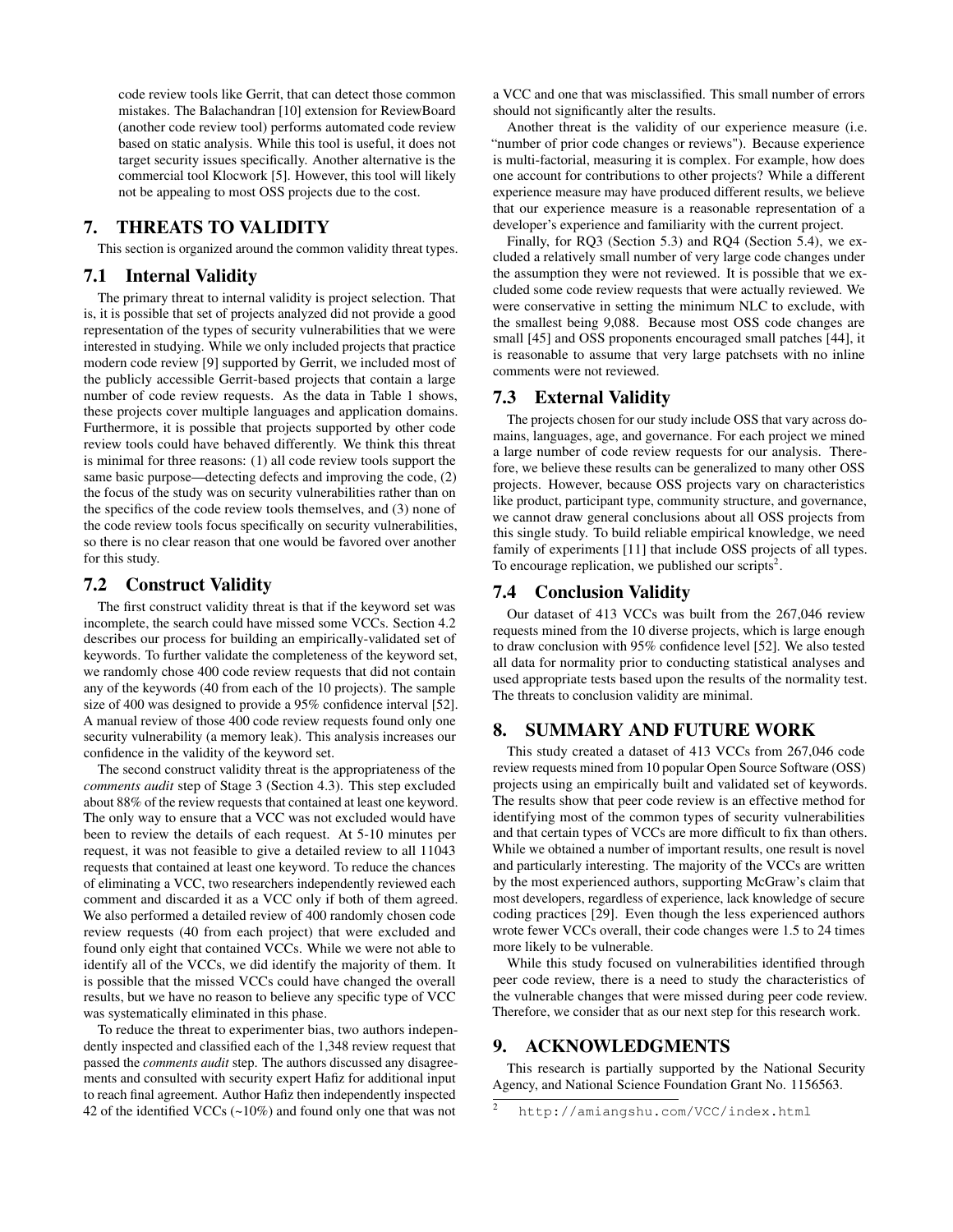code review tools like Gerrit, that can detect those common mistakes. The Balachandran [10] extension for ReviewBoard (another code review tool) performs automated code review based on static analysis. While this tool is useful, it does not target security issues specifically. Another alternative is the commercial tool Klocwork [5]. However, this tool will likely not be appealing to most OSS projects due to the cost.

# 7. THREATS TO VALIDITY

This section is organized around the common validity threat types.

# 7.1 Internal Validity

The primary threat to internal validity is project selection. That is, it is possible that set of projects analyzed did not provide a good representation of the types of security vulnerabilities that we were interested in studying. While we only included projects that practice modern code review [9] supported by Gerrit, we included most of the publicly accessible Gerrit-based projects that contain a large number of code review requests. As the data in Table 1 shows, these projects cover multiple languages and application domains. Furthermore, it is possible that projects supported by other code review tools could have behaved differently. We think this threat is minimal for three reasons: (1) all code review tools support the same basic purpose—detecting defects and improving the code, (2) the focus of the study was on security vulnerabilities rather than on the specifics of the code review tools themselves, and (3) none of the code review tools focus specifically on security vulnerabilities, so there is no clear reason that one would be favored over another for this study.

### 7.2 Construct Validity

The first construct validity threat is that if the keyword set was incomplete, the search could have missed some VCCs. Section 4.2 describes our process for building an empirically-validated set of keywords. To further validate the completeness of the keyword set, we randomly chose 400 code review requests that did not contain any of the keywords (40 from each of the 10 projects). The sample size of 400 was designed to provide a 95% confidence interval [52]. A manual review of those 400 code review requests found only one security vulnerability (a memory leak). This analysis increases our confidence in the validity of the keyword set.

The second construct validity threat is the appropriateness of the *comments audit* step of Stage 3 (Section 4.3). This step excluded about 88% of the review requests that contained at least one keyword. The only way to ensure that a VCC was not excluded would have been to review the details of each request. At 5-10 minutes per request, it was not feasible to give a detailed review to all 11043 requests that contained at least one keyword. To reduce the chances of eliminating a VCC, two researchers independently reviewed each comment and discarded it as a VCC only if both of them agreed. We also performed a detailed review of 400 randomly chosen code review requests (40 from each project) that were excluded and found only eight that contained VCCs. While we were not able to identify all of the VCCs, we did identify the majority of them. It is possible that the missed VCCs could have changed the overall results, but we have no reason to believe any specific type of VCC was systematically eliminated in this phase.

To reduce the threat to experimenter bias, two authors independently inspected and classified each of the 1,348 review request that passed the *comments audit* step. The authors discussed any disagreements and consulted with security expert Hafiz for additional input to reach final agreement. Author Hafiz then independently inspected 42 of the identified VCCs  $(\sim 10\%)$  and found only one that was not

a VCC and one that was misclassified. This small number of errors should not significantly alter the results.

Another threat is the validity of our experience measure (i.e. "number of prior code changes or reviews"). Because experience is multi-factorial, measuring it is complex. For example, how does one account for contributions to other projects? While a different experience measure may have produced different results, we believe that our experience measure is a reasonable representation of a developer's experience and familiarity with the current project.

Finally, for RQ3 (Section 5.3) and RQ4 (Section 5.4), we excluded a relatively small number of very large code changes under the assumption they were not reviewed. It is possible that we excluded some code review requests that were actually reviewed. We were conservative in setting the minimum NLC to exclude, with the smallest being 9,088. Because most OSS code changes are small [45] and OSS proponents encouraged small patches [44], it is reasonable to assume that very large patchsets with no inline comments were not reviewed.

#### 7.3 External Validity

The projects chosen for our study include OSS that vary across domains, languages, age, and governance. For each project we mined a large number of code review requests for our analysis. Therefore, we believe these results can be generalized to many other OSS projects. However, because OSS projects vary on characteristics like product, participant type, community structure, and governance, we cannot draw general conclusions about all OSS projects from this single study. To build reliable empirical knowledge, we need family of experiments [11] that include OSS projects of all types. To encourage replication, we published our scripts<sup>2</sup>.

#### 7.4 Conclusion Validity

Our dataset of 413 VCCs was built from the 267,046 review requests mined from the 10 diverse projects, which is large enough to draw conclusion with 95% confidence level [52]. We also tested all data for normality prior to conducting statistical analyses and used appropriate tests based upon the results of the normality test. The threats to conclusion validity are minimal.

# 8. SUMMARY AND FUTURE WORK

This study created a dataset of 413 VCCs from 267,046 code review requests mined from 10 popular Open Source Software (OSS) projects using an empirically built and validated set of keywords. The results show that peer code review is an effective method for identifying most of the common types of security vulnerabilities and that certain types of VCCs are more difficult to fix than others. While we obtained a number of important results, one result is novel and particularly interesting. The majority of the VCCs are written by the most experienced authors, supporting McGraw's claim that most developers, regardless of experience, lack knowledge of secure coding practices [29]. Even though the less experienced authors wrote fewer VCCs overall, their code changes were 1.5 to 24 times more likely to be vulnerable.

While this study focused on vulnerabilities identified through peer code review, there is a need to study the characteristics of the vulnerable changes that were missed during peer code review. Therefore, we consider that as our next step for this research work.

## 9. ACKNOWLEDGMENTS

This research is partially supported by the National Security Agency, and National Science Foundation Grant No. 1156563.

http://amiangshu.com/VCC/index.html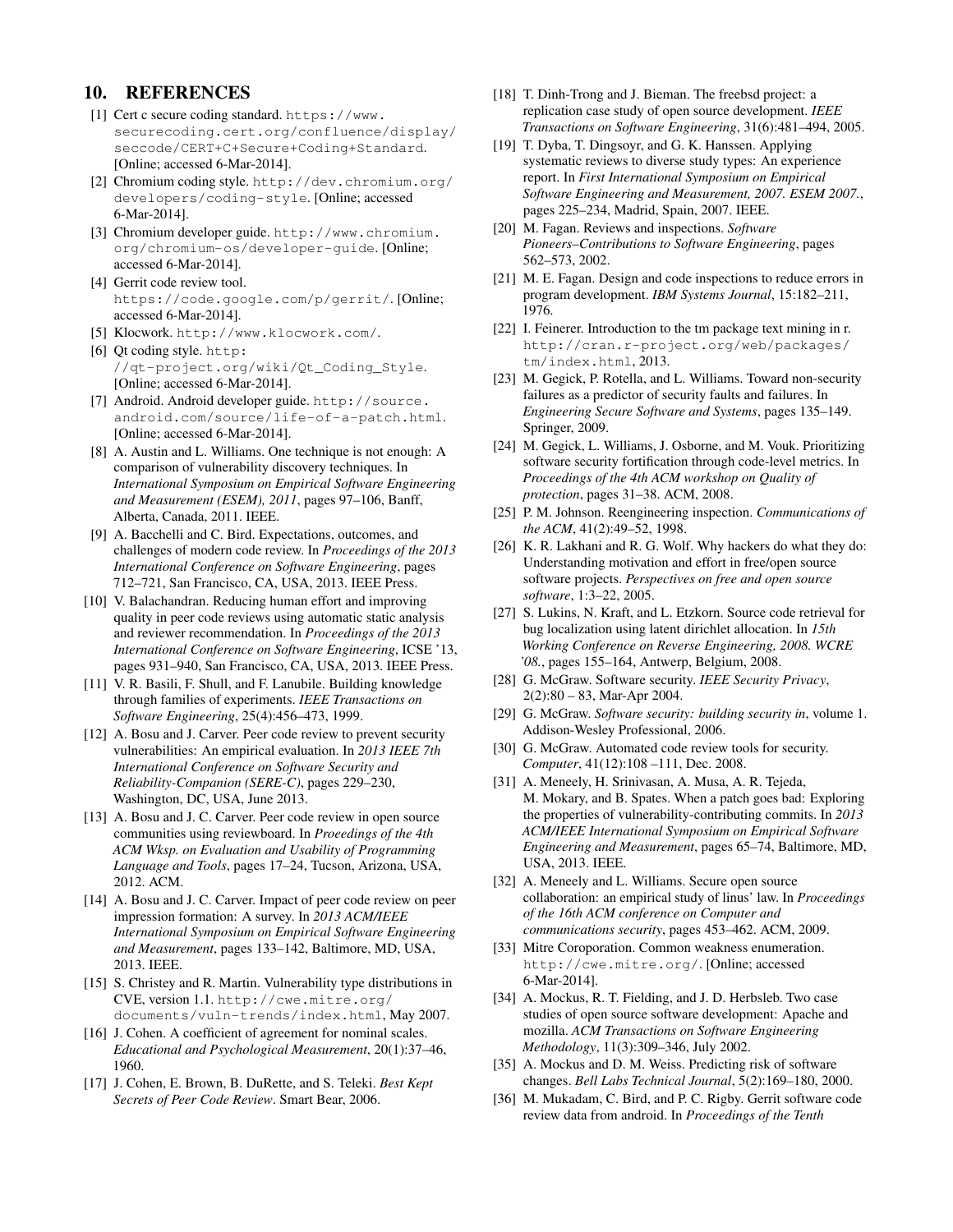# 10. REFERENCES

- [1] Cert c secure coding standard. https://www. securecoding.cert.org/confluence/display/ seccode/CERT+C+Secure+Coding+Standard. [Online; accessed 6-Mar-2014].
- [2] Chromium coding style. http://dev.chromium.org/ developers/coding-style. [Online; accessed 6-Mar-2014].
- [3] Chromium developer guide. http://www.chromium. org/chromium-os/developer-guide. [Online; accessed 6-Mar-2014].
- [4] Gerrit code review tool. https://code.google.com/p/gerrit/. [Online; accessed 6-Mar-2014].
- [5] Klocwork. http://www.klocwork.com/.
- [6] Qt coding style. http: //qt-project.org/wiki/Qt\_Coding\_Style. [Online; accessed 6-Mar-2014].
- [7] Android. Android developer guide. http://source. android.com/source/life-of-a-patch.html. [Online; accessed 6-Mar-2014].
- [8] A. Austin and L. Williams. One technique is not enough: A comparison of vulnerability discovery techniques. In *International Symposium on Empirical Software Engineering and Measurement (ESEM), 2011*, pages 97–106, Banff, Alberta, Canada, 2011. IEEE.
- [9] A. Bacchelli and C. Bird. Expectations, outcomes, and challenges of modern code review. In *Proceedings of the 2013 International Conference on Software Engineering*, pages 712–721, San Francisco, CA, USA, 2013. IEEE Press.
- [10] V. Balachandran. Reducing human effort and improving quality in peer code reviews using automatic static analysis and reviewer recommendation. In *Proceedings of the 2013 International Conference on Software Engineering*, ICSE '13, pages 931–940, San Francisco, CA, USA, 2013. IEEE Press.
- [11] V. R. Basili, F. Shull, and F. Lanubile. Building knowledge through families of experiments. *IEEE Transactions on Software Engineering*, 25(4):456–473, 1999.
- [12] A. Bosu and J. Carver. Peer code review to prevent security vulnerabilities: An empirical evaluation. In *2013 IEEE 7th International Conference on Software Security and Reliability-Companion (SERE-C)*, pages 229–230, Washington, DC, USA, June 2013.
- [13] A. Bosu and J. C. Carver. Peer code review in open source communities using reviewboard. In *Proeedings of the 4th ACM Wksp. on Evaluation and Usability of Programming Language and Tools*, pages 17–24, Tucson, Arizona, USA, 2012. ACM.
- [14] A. Bosu and J. C. Carver. Impact of peer code review on peer impression formation: A survey. In *2013 ACM/IEEE International Symposium on Empirical Software Engineering and Measurement*, pages 133–142, Baltimore, MD, USA, 2013. IEEE.
- [15] S. Christey and R. Martin. Vulnerability type distributions in CVE, version 1.1. http://cwe.mitre.org/ documents/vuln-trends/index.html, May 2007.
- [16] J. Cohen. A coefficient of agreement for nominal scales. *Educational and Psychological Measurement*, 20(1):37–46, 1960.
- [17] J. Cohen, E. Brown, B. DuRette, and S. Teleki. *Best Kept Secrets of Peer Code Review*. Smart Bear, 2006.
- [18] T. Dinh-Trong and J. Bieman. The freebsd project: a replication case study of open source development. *IEEE Transactions on Software Engineering*, 31(6):481–494, 2005.
- [19] T. Dyba, T. Dingsoyr, and G. K. Hanssen. Applying systematic reviews to diverse study types: An experience report. In *First International Symposium on Empirical Software Engineering and Measurement, 2007. ESEM 2007.*, pages 225–234, Madrid, Spain, 2007. IEEE.
- [20] M. Fagan. Reviews and inspections. *Software Pioneers–Contributions to Software Engineering*, pages 562–573, 2002.
- [21] M. E. Fagan. Design and code inspections to reduce errors in program development. *IBM Systems Journal*, 15:182–211, 1976.
- [22] I. Feinerer. Introduction to the tm package text mining in r. http://cran.r-project.org/web/packages/ tm/index.html, 2013.
- [23] M. Gegick, P. Rotella, and L. Williams. Toward non-security failures as a predictor of security faults and failures. In *Engineering Secure Software and Systems*, pages 135–149. Springer, 2009.
- [24] M. Gegick, L. Williams, J. Osborne, and M. Vouk. Prioritizing software security fortification through code-level metrics. In *Proceedings of the 4th ACM workshop on Quality of protection*, pages 31–38. ACM, 2008.
- [25] P. M. Johnson. Reengineering inspection. *Communications of the ACM*, 41(2):49–52, 1998.
- [26] K. R. Lakhani and R. G. Wolf. Why hackers do what they do: Understanding motivation and effort in free/open source software projects. *Perspectives on free and open source software*, 1:3–22, 2005.
- [27] S. Lukins, N. Kraft, and L. Etzkorn. Source code retrieval for bug localization using latent dirichlet allocation. In *15th Working Conference on Reverse Engineering, 2008. WCRE '08.*, pages 155–164, Antwerp, Belgium, 2008.
- [28] G. McGraw. Software security. *IEEE Security Privacy*, 2(2):80 – 83, Mar-Apr 2004.
- [29] G. McGraw. *Software security: building security in*, volume 1. Addison-Wesley Professional, 2006.
- [30] G. McGraw. Automated code review tools for security. *Computer*, 41(12):108 –111, Dec. 2008.
- [31] A. Meneely, H. Srinivasan, A. Musa, A. R. Tejeda, M. Mokary, and B. Spates. When a patch goes bad: Exploring the properties of vulnerability-contributing commits. In *2013 ACM/IEEE International Symposium on Empirical Software Engineering and Measurement*, pages 65–74, Baltimore, MD, USA, 2013. IEEE.
- [32] A. Meneely and L. Williams. Secure open source collaboration: an empirical study of linus' law. In *Proceedings of the 16th ACM conference on Computer and communications security*, pages 453–462. ACM, 2009.
- [33] Mitre Coroporation. Common weakness enumeration. http://cwe.mitre.org/. [Online; accessed 6-Mar-2014].
- [34] A. Mockus, R. T. Fielding, and J. D. Herbsleb. Two case studies of open source software development: Apache and mozilla. *ACM Transactions on Software Engineering Methodology*, 11(3):309–346, July 2002.
- [35] A. Mockus and D. M. Weiss. Predicting risk of software changes. *Bell Labs Technical Journal*, 5(2):169–180, 2000.
- [36] M. Mukadam, C. Bird, and P. C. Rigby. Gerrit software code review data from android. In *Proceedings of the Tenth*